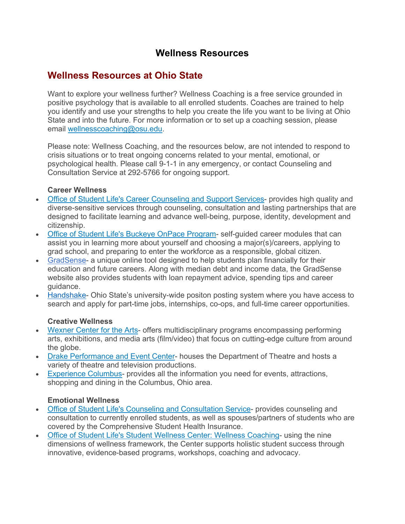# **Wellness Resources**

# **Wellness Resources at Ohio State**

Want to explore your wellness further? Wellness Coaching is a free service grounded in positive psychology that is available to all enrolled students. Coaches are trained to help you identify and use your strengths to help you create the life you want to be living at Ohio State and into the future. For more information or to set up a coaching session, please email wellnesscoaching@osu.edu.

Please note: Wellness Coaching, and the resources below, are not intended to respond to crisis situations or to treat ongoing concerns related to your mental, emotional, or psychological health. Please call 9-1-1 in any emergency, or contact Counseling and Consultation Service at 292-5766 for ongoing support.

#### **Career Wellness**

- Office of Student Life's Career Counseling and Support Services- provides high quality and diverse-sensitive services through counseling, consultation and lasting partnerships that are designed to facilitate learning and advance well-being, purpose, identity, development and citizenship.
- Office of Student Life's Buckeye OnPace Program- self-guided career modules that can assist you in learning more about yourself and choosing a major(s)/careers, applying to grad school, and preparing to enter the workforce as a responsible, global citizen.
- GradSense- a unique online tool designed to help students plan financially for their education and future careers. Along with median debt and income data, the GradSense website also provides students with loan repayment advice, spending tips and career guidance.
- Handshake- Ohio State's university-wide positon posting system where you have access to search and apply for part-time jobs, internships, co-ops, and full-time career opportunities.

#### **Creative Wellness**

- Wexner Center for the Arts- offers multidisciplinary programs encompassing performing arts, exhibitions, and media arts (film/video) that focus on cutting-edge culture from around the globe.
- Drake Performance and Event Center- houses the Department of Theatre and hosts a variety of theatre and television productions.
- Experience Columbus- provides all the information you need for events, attractions, shopping and dining in the Columbus, Ohio area.

#### **Emotional Wellness**

- Office of Student Life's Counseling and Consultation Service- provides counseling and consultation to currently enrolled students, as well as spouses/partners of students who are covered by the Comprehensive Student Health Insurance.
- Office of Student Life's Student Wellness Center: Wellness Coaching- using the nine dimensions of wellness framework, the Center supports holistic student success through innovative, evidence-based programs, workshops, coaching and advocacy.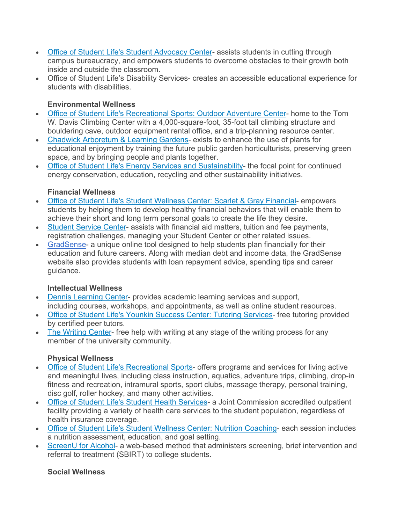- Office of Student Life's Student Advocacy Center- assists students in cutting through campus bureaucracy, and empowers students to overcome obstacles to their growth both inside and outside the classroom.
- Office of Student Life's Disability Services- creates an accessible educational experience for students with disabilities.

## **Environmental Wellness**

- Office of Student Life's Recreational Sports: Outdoor Adventure Center- home to the Tom W. Davis Climbing Center with a 4,000-square-foot, 35-foot tall climbing structure and bouldering cave, outdoor equipment rental office, and a trip-planning resource center.
- Chadwick Arboretum & Learning Gardens- exists to enhance the use of plants for educational enjoyment by training the future public garden horticulturists, preserving green space, and by bringing people and plants together.
- Office of Student Life's Energy Services and Sustainability- the focal point for continued energy conservation, education, recycling and other sustainability initiatives.

## **Financial Wellness**

- Office of Student Life's Student Wellness Center: Scarlet & Gray Financial- empowers students by helping them to develop healthy financial behaviors that will enable them to achieve their short and long term personal goals to create the life they desire.
- Student Service Center- assists with financial aid matters, tuition and fee payments, registration challenges, managing your Student Center or other related issues.
- GradSense- a unique online tool designed to help students plan financially for their education and future careers. Along with median debt and income data, the GradSense website also provides students with loan repayment advice, spending tips and career guidance.

## **Intellectual Wellness**

- Dennis Learning Center- provides academic learning services and support, including courses, workshops, and appointments, as well as online student resources.
- Office of Student Life's Younkin Success Center: Tutoring Services- free tutoring provided by certified peer tutors.
- The Writing Center- free help with writing at any stage of the writing process for any member of the university community.

## **Physical Wellness**

- Office of Student Life's Recreational Sports- offers programs and services for living active and meaningful lives, including class instruction, aquatics, adventure trips, climbing, drop-in fitness and recreation, intramural sports, sport clubs, massage therapy, personal training, disc golf, roller hockey, and many other activities.
- Office of Student Life's Student Health Services- a Joint Commission accredited outpatient facility providing a variety of health care services to the student population, regardless of health insurance coverage.
- Office of Student Life's Student Wellness Center: Nutrition Coaching- each session includes a nutrition assessment, education, and goal setting.
- ScreenU for Alcohol- a web-based method that administers screening, brief intervention and referral to treatment (SBIRT) to college students.

#### **Social Wellness**